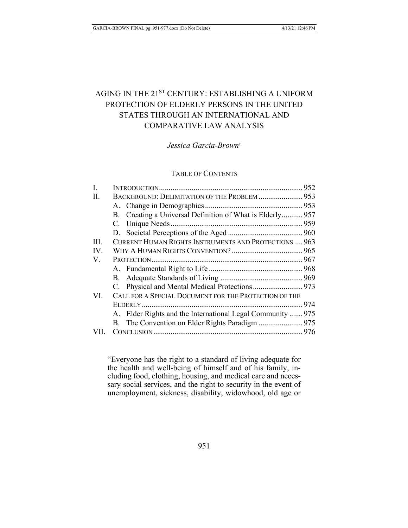# AGING IN THE 21ST CENTURY: ESTABLISHING A UNIFORM PROTECTION OF ELDERLY PERSONS IN THE UNITED STATES THROUGH AN INTERNATIONAL AND **COMPARATIVE LAW ANALYSIS**

## Jessica Garcia-Brown<sup>+</sup>

## **TABLE OF CONTENTS**

| I.   |                                                            |  |
|------|------------------------------------------------------------|--|
| П.   | BACKGROUND: DELIMITATION OF THE PROBLEM  953               |  |
|      |                                                            |  |
|      | B. Creating a Universal Definition of What is Elderly 957  |  |
|      |                                                            |  |
|      |                                                            |  |
| III. | CURRENT HUMAN RIGHTS INSTRUMENTS AND PROTECTIONS  963      |  |
| IV.  |                                                            |  |
| V.   |                                                            |  |
|      |                                                            |  |
|      |                                                            |  |
|      |                                                            |  |
| VI.  | CALL FOR A SPECIAL DOCUMENT FOR THE PROTECTION OF THE      |  |
|      |                                                            |  |
|      | A. Elder Rights and the International Legal Community  975 |  |
|      |                                                            |  |
| VII. |                                                            |  |

"Everyone has the right to a standard of living adequate for the health and well-being of himself and of his family, including food, clothing, housing, and medical care and necessary social services, and the right to security in the event of unemployment, sickness, disability, widowhood, old age or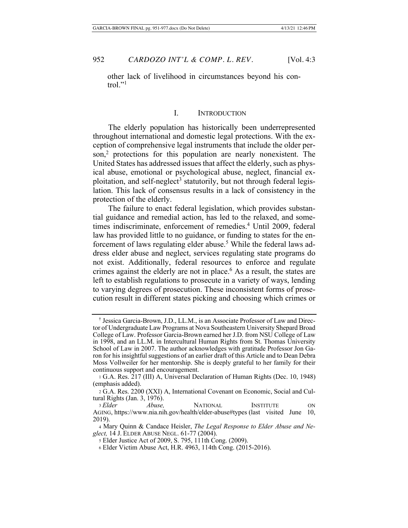other lack of livelihood in circumstances beyond his control." $^{\prime\prime}$ 

## I. INTRODUCTION

The elderly population has historically been underrepresented throughout international and domestic legal protections. With the exeeption of comprehensive legal instruments that include the older person,<sup>2</sup> protections for this population are nearly nonexistent. The United States has addressed issues that affect the elderly, such as physical abuse, emotional or psychological abuse, neglect, financial exploitation, and self-neglect<sup>3</sup> statutorily, but not through federal legislation. This lack of consensus results in a lack of consistency in the protection of the elderly.

The failure to enact federal legislation, which provides substantial guidance and remedial action, has led to the relaxed, and sometimes indiscriminate, enforcement of remedies.<sup>4</sup> Until 2009, federal law has provided little to no guidance, or funding to states for the enforcement of laws regulating elder abuse.<sup>5</sup> While the federal laws address elder abuse and neglect, services regulating state programs do not exist. Additionally, federal resources to enforce and regulate crimes against the elderly are not in place.<sup>6</sup> As a result, the states are left to establish regulations to prosecute in a variety of ways, lending to varying degrees of prosecution. These inconsistent forms of prosecution result in different states picking and choosing which crimes or

<sup>&</sup>lt;sup>†</sup> Jessica Garcia-Brown, J.D., LL.M., is an Associate Professor of Law and Director of Undergraduate Law Programs at Nova Southeastern University Shepard Broad College of Law. Professor Garcia-Brown earned her J.D. from NSU College of Law in 1998, and an LL.M. in Intercultural Human Rights from St. Thomas University School of Law in 2007. The author acknowledges with gratitude Professor Jon Garon for his insightful suggestions of an earlier draft of this Article and to Dean Debra Moss Vollweiler for her mentorship. She is deeply grateful to her family for their continuous support and encouragement.

<sup>1</sup> G.A. Res. 217 (III) A, Universal Declaration of Human Rights (Dec. 10, 1948) (emphasis added).

<sup>2</sup> G.A. Res. 2200 (XXI) A, International Covenant on Economic, Social and Cultural Rights (Jan. 3, 1976).

*<sup>7/&</sup>lt;sub>2</sub> Blder Abuse*, *7/000 Abuse*, *7/000 Abuse, <b>7/000 Abuse, 7/000 Abuse, 7/000 Abuse* AGING, https://www.nia.nih.gov/health/elder-abuse#types (last visited June 10, 2019).

<sup>4</sup> Mary Quinn & Candace Heisler, The Legal Response to Elder Abuse and Neglect, 14 J. ELDER ABUSE NEGL. 61-77 (2004).

<sup>5</sup> Elder Justice Act of 2009, S. 795, 111th Cong. (2009).

<sup>6</sup> Elder Victim Abuse Act, H.R. 4963, 114th Cong. (2015-2016).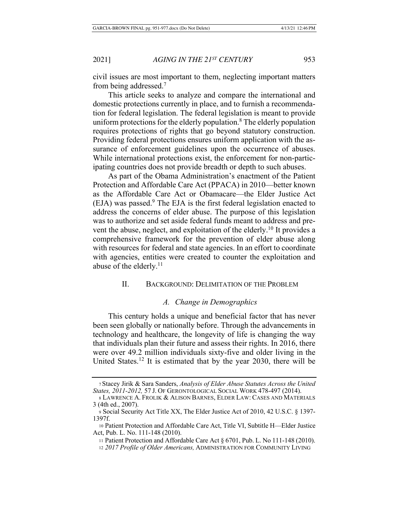$\dot{x}$  civil issues are most important to them, neglecting important matters from being addressed.<sup>7</sup>

This article seeks to analyze and compare the international and domestic protections currently in place, and to furnish a recommendation for federal legislation. The federal legislation is meant to provide uniform protections for the elderly population.<sup>8</sup> The elderly population requires protections of rights that go beyond statutory construction. Providing federal protections ensures uniform application with the assurance of enforcement guidelines upon the occurrence of abuses. While international protections exist, the enforcement for non-participating countries does not provide breadth or depth to such abuses.

As part of the Obama Administration's enactment of the Patient Protection and Affordable Care Act (PPACA) in 2010-better known as the Affordable Care Act or Obamacare—the Elder Justice Act (EJA) was passed.<sup>9</sup> The EJA is the first federal legislation enacted to address the concerns of elder abuse. The purpose of this legislation was to authorize and set aside federal funds meant to address and prevent the abuse, neglect, and exploitation of the elderly.<sup>10</sup> It provides a comprehensive framework for the prevention of elder abuse along with resources for federal and state agencies. In an effort to coordinate with agencies, entities were created to counter the exploitation and abuse of the elderly. $^{11}$ 

## II. BACKGROUND: DELIMITATION OF THE PROBLEM

#### A. Change in Demographics

This century holds a unique and beneficial factor that has never been seen globally or nationally before. Through the advancements in technology and healthcare, the longevity of life is changing the way that individuals plan their future and assess their rights. In 2016, there were over 49.2 million individuals sixty-five and older living in the United States.<sup>12</sup> It is estimated that by the year 2030, there will be

<sup>7</sup> Stacey Jirik & Sara Sanders, Analysis of Elder Abuse Statutes Across the United States, 2011-2012, 57 J. Of GERONTOLOGICAL SOCIAL WORK 478-497 (2014).

<sup>8</sup> Lawrence A. Frolik & Alison Barnes, Elder Law: Cases and Materials 3 (4th ed., 2007).

<sup>9</sup> Social Security Act Title XX, The Elder Justice Act of 2010, 42 U.S.C. § 1397-1397f.

<sup>10</sup> Patient Protection and Affordable Care Act, Title VI, Subtitle H-Elder Justice Act, Pub. L. No. 111-148 (2010).

<sup>11</sup> Patient Protection and Affordable Care Act  $\S$  6701, Pub. L. No 111-148 (2010).

<sup>12 2017</sup> Profile of Older Americans, ADMINISTRATION FOR COMMUNITY LIVING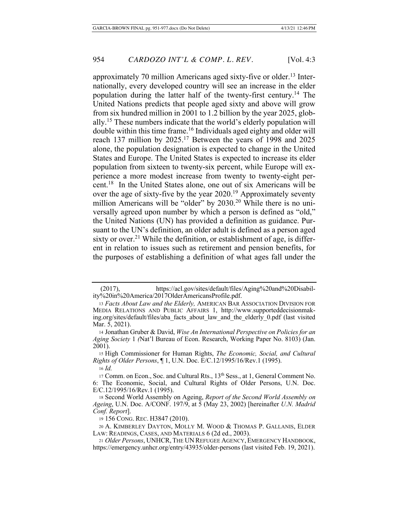approximately 70 million Americans aged sixty-five or older.<sup>13</sup> Internationally, every developed country will see an increase in the elder population during the latter half of the twenty-first century.<sup>14</sup> The United Nations predicts that people aged sixty and above will grow from six hundred million in 2001 to 1.2 billion by the year 2025, globally.<sup>15</sup> These numbers indicate that the world's elderly population will double within this time frame.<sup>16</sup> Individuals aged eighty and older will reach 137 million by  $2025<sup>17</sup>$  Between the years of 1998 and  $2025$ alone, the population designation is expected to change in the United States and Europe. The United States is expected to increase its elder population from sixteen to twenty-six percent, while Europe will experience a more modest increase from twenty to twenty-eight percent.<sup>18</sup> In the United States alone, one out of six Americans will be over the age of sixty-five by the year  $2020<sup>19</sup>$  Approximately seventy million Americans will be "older" by 2030.<sup>20</sup> While there is no universally agreed upon number by which a person is defined as "old," the United Nations (UN) has provided a definition as guidance. Pursuant to the UN's definition, an older adult is defined as a person aged sixty or over.<sup>21</sup> While the definition, or establishment of age, is different in relation to issues such as retirement and pension benefits, for the purposes of establishing a definition of what ages fall under the

15 High Commissioner for Human Rights, *The Economic, Social, and Cultural Rights of Older Persons*, 1, U.N. Doc. E/C.12/1995/16/Rev.1 (1995).  $16$  *Id.* 

<sup>(2017),</sup> https://acl.gov/sites/default/files/Aging%20and%20Disability%20in%20America/2017OlderAmericansProfile.pdf.

<sup>13</sup> Facts About Law and the Elderly, AMERICAN BAR ASSOCIATION DIVISION FOR MEDIA RELATIONS AND PUBLIC AFFAIRS 1, http://www.supporteddecisionmaking.org/sites/default/files/aba facts about law and the elderly 0.pdf (last visited Mar. 5, 2021).

<sup>14</sup> Jonathan Gruber & David, Wise An International Perspective on Policies for an *Aging Society* 1 (Nat'l Bureau of Econ. Research, Working Paper No. 8103) (Jan.  $2001$ ).

<sup>17</sup> Comm. on Econ., Soc. and Cultural Rts., 13<sup>th</sup> Sess., at 1, General Comment No. 6: The Economic, Social, and Cultural Rights of Older Persons, U.N. Doc. E/C.12/1995/16/Rev.1 (1995).

<sup>18</sup> Second World Assembly on Ageing, Report of the Second World Assembly on Ageing, U.N. Doc. A/CONF. 197/9, at 5 (May 23, 2002) [hereinafter U.N. Madrid *Conf. Report.* 

<sup>19 156</sup> CONG. REC. H3847 (2010).

<sup>20</sup> A. KIMBERLEY DAYTON, MOLLY M. WOOD & THOMAS P. GALLANIS, ELDER LAW: READINGS, CASES, AND MATERIALS 6 (2d ed., 2003).

<sup>21</sup> Older Persons, UNHCR, THE UN REFUGEE AGENCY, EMERGENCY HANDBOOK, https://emergency.unhcr.org/entry/43935/older-persons (last visited Feb. 19, 2021).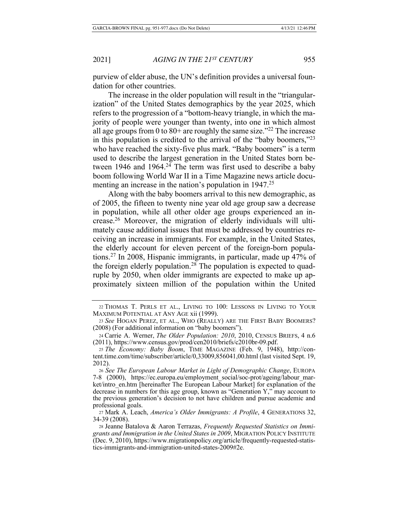purview of elder abuse, the UN's definition provides a universal foundation for other countries.

The increase in the older population will result in the "triangularization" of the United States demographics by the year 2025, which refers to the progression of a "bottom-heavy triangle, in which the majority of people were younger than twenty, into one in which almost all age groups from 0 to  $80+$  are roughly the same size."<sup>22</sup> The increase in this population is credited to the arrival of the "baby boomers," $^{23}$ who have reached the sixty-five plus mark. "Baby boomers" is a term used to describe the largest generation in the United States born between 1946 and 1964.<sup>24</sup> The term was first used to describe a baby boom following World War II in a Time Magazine news article documenting an increase in the nation's population in  $1947<sup>25</sup>$ 

Along with the baby boomers arrival to this new demographic, as of 2005, the fifteen to twenty nine year old age group saw a decrease in population, while all other older age groups experienced an increase.<sup>26</sup> Moreover, the migration of elderly individuals will ultimately cause additional issues that must be addressed by countries receiving an increase in immigrants. For example, in the United States, the elderly account for eleven percent of the foreign-born populations.<sup>27</sup> In 2008, Hispanic immigrants, in particular, made up 47% of the foreign elderly population.<sup>28</sup> The population is expected to quadruple by 2050, when older immigrants are expected to make up approximately sixteen million of the population within the United

<sup>22</sup> THOMAS T. PERLS ET AL., LIVING TO 100: LESSONS IN LIVING TO YOUR MAXIMUM POTENTIAL AT ANY AGE xii (1999).

<sup>23</sup> See HOGAN PEREZ, ET AL., WHO (REALLY) ARE THE FIRST BABY BOOMERS? (2008) (For additional information on "baby boomers").

<sup>24</sup> Carrie A. Werner, The Older Population: 2010, 2010, CENSUS BRIEFS, 4 n.6 (2011), https://www.census.gov/prod/cen2010/briefs/c2010br-09.pdf.

<sup>25</sup> The Economy: Baby Boom, TIME MAGAZINE (Feb. 9, 1948), http://content.time.com/time/subscriber/article/0,33009,856041,00.html (last visited Sept. 19, 2012).

<sup>26</sup> See The European Labour Market in Light of Demographic Change, EUROPA 7-8 (2000), https://ec.europa.eu/employment\_social/soc-prot/ageing/labour\_market/intro\_en.htm [hereinafter The European Labour Market] for explanation of the decrease in numbers for this age group, known as "Generation Y," may account to the previous generation's decision to not have children and pursue academic and professional goals.

<sup>27</sup> Mark A. Leach, America's Older Immigrants: A Profile, 4 GENERATIONS 32, 34-39 (2008).

<sup>28</sup> Jeanne Batalova & Aaron Terrazas, Frequently Requested Statistics on Immigrants and Immigration in the United States in 2009, MIGRATION POLICY INSTITUTE (Dec. 9, 2010), https://www.migrationpolicy.org/article/frequently-requested-statistics-immigrants-and-immigration-united-states-2009#2e.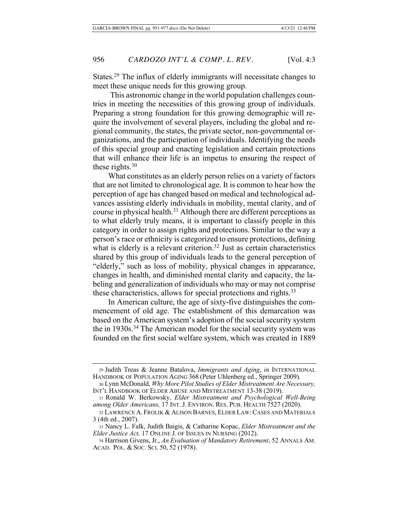States.<sup>29</sup> The influx of elderly immigrants will necessitate changes to meet these unique needs for this growing group.

This astronomic change in the world population challenges countries in meeting the necessities of this growing group of individuals. Preparing a strong foundation for this growing demographic will require the involvement of several players, including the global and regional community, the states, the private sector, non-governmental organizations, and the participation of individuals. Identifying the needs of this special group and enacting legislation and certain protections that will enhance their life is an impetus to ensuring the respect of these rights. $30<sup>30</sup>$ 

What constitutes as an elderly person relies on a variety of factors that are not limited to chronological age. It is common to hear how the perception of age has changed based on medical and technological advances assisting elderly individuals in mobility, mental clarity, and of course in physical health.<sup>31</sup> Although there are different perceptions as to what elderly truly means, it is important to classify people in this category in order to assign rights and protections. Similar to the way a person's race or ethnicity is categorized to ensure protections, defining what is elderly is a relevant criterion.<sup>32</sup> Just as certain characteristics shared by this group of individuals leads to the general perception of "elderly," such as loss of mobility, physical changes in appearance, changes in health, and diminished mental clarity and capacity, the labeling and generalization of individuals who may or may not comprise these characteristics, allows for special protections and rights. $33$ 

In American culture, the age of sixty-five distinguishes the commencement of old age. The establishment of this demarcation was based on the American system's adoption of the social security system the in 1930s.<sup>34</sup> The American model for the social security system was founded on the first social welfare system, which was created in 1889

<sup>29</sup> Judith Treas & Jeanne Batalova, Immigrants and Aging, in INTERNATIONAL HANDBOOK OF POPULATION AGING 368 (Peter Uhlenberg ed., Springer 2009).

<sup>30</sup> Lynn McDonald, *Why More Pilot Studies of Elder Mistreatment Are Necessary*, INT'L HANDBOOK OF ELDER ABUSE AND MISTREATMENT 13-38 (2019).

<sup>31</sup> Ronald W. Berkowsky, Elder Mistreatment and Psychological Well-Being among Older Americans, 17 INT. J. ENVIRON. RES. PUB. HEALTH 7527 (2020).

<sup>32</sup> LAWRENCE A. FROLIK & ALISON BARNES, ELDER LAW: CASES AND MATERIALS 3 (4th ed., 2007).

<sup>33</sup> Nancy L. Falk, Judith Baigis, & Catharine Kopac, Elder Mistreatment and the *Elder Justice Act, 17 ONLINE J. OF ISSUES IN NURSING (2012).* 

<sup>34</sup> Harrison Givens, Jr., An Evaluation of Mandatory Retirement, 52 ANNALS AM. ACAD. POL. & SOC. SCI. 50, 52 (1978).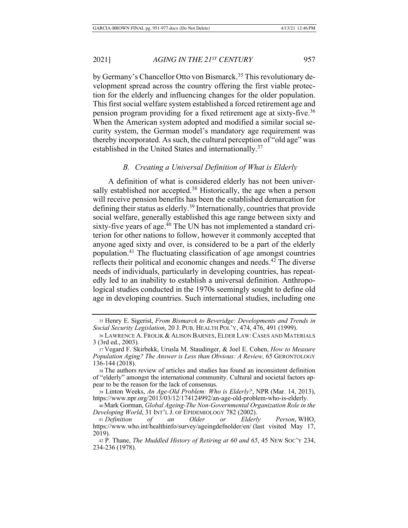by Germany's Chancellor Otto von Bismarck.<sup>35</sup> This revolutionary development spread across the country offering the first viable protection for the elderly and influencing changes for the older population. This first social welfare system established a forced retirement age and pension program providing for a fixed retirement age at sixty-five.<sup>36</sup> When the American system adopted and modified a similar social security system, the German model's mandatory age requirement was thereby incorporated. As such, the cultural perception of "old age" was established in the United States and internationally.<sup>37</sup>

## **B.** Creating a Universal Definition of What is Elderly

A definition of what is considered elderly has not been universally established nor accepted.<sup>38</sup> Historically, the age when a person will receive pension benefits has been the established demarcation for defining their status as elderly.<sup>39</sup> Internationally, countries that provide social welfare, generally established this age range between sixty and sixty-five years of age.<sup>40</sup> The UN has not implemented a standard criterion for other nations to follow, however it commonly accepted that anyone aged sixty and over, is considered to be a part of the elderly population.<sup>41</sup> The fluctuating classification of age amongst countries reflects their political and economic changes and needs.<sup>42</sup> The diverse needs of individuals, particularly in developing countries, has repeatedly led to an inability to establish a universal definition. Anthropological studies conducted in the 1970s seemingly sought to define old age in developing countries. Such international studies, including one

<sup>35</sup> Henry E. Sigerist, From Bismarck to Beveridge: Developments and Trends in Social Security Legislation, 20 J. PUB. HEALTH POL'Y, 474, 476, 491 (1999).

<sup>36</sup> LAWRENCE A. FROLIK & ALISON BARNES, ELDER LAW: CASES AND MATERIALS 3 (3rd ed., 2003).

<sup>37</sup> Vegard F. Skirbekk, Urusla M. Staudinger, & Joel E. Cohen, *How to Measure* Population Aging? The Answer is Less than Obvious: A Review, 65 GERONTOLOGY 136-144 (2018).

<sup>38</sup> The authors review of articles and studies has found an inconsistent definition of "elderly" amongst the international community. Cultural and societal factors appear to be the reason for the lack of consensus.

<sup>39</sup> Linton Weeks, An Age-Old Problem: Who is Elderly?, NPR (Mar. 14, 2013), https://www.npr.org/2013/03/12/174124992/an-age-old-problem-who-is-elderly.

<sup>40</sup> Mark Gorman, *Global Ageing-The Non-Governmental Organization Role in the* Developing World, 31 INT'L J. OF EPIDEMIOLOGY 782 (2002).

<sup>41</sup> Definition of an Older or Elderly Person, WHO, https://www.who.int/healthinfo/survey/ageingdefnolder/en/ (last visited May 17, 2019).

<sup>42</sup> P. Thane, *The Muddled History of Retiring at 60 and 65*, 45 New Soc'y 234, 234-236 (1978).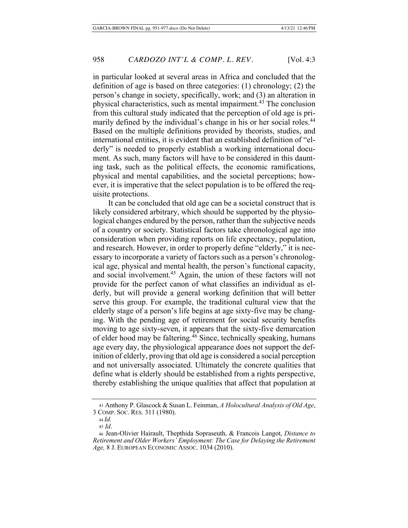in particular looked at several areas in Africa and concluded that the definition of age is based on three categories:  $(1)$  chronology;  $(2)$  the person's change in society, specifically, work; and (3) an alteration in physical characteristics, such as mental impairment.<sup>43</sup> The conclusion from this cultural study indicated that the perception of old age is primarily defined by the individual's change in his or her social roles.<sup>44</sup> Based on the multiple definitions provided by theorists, studies, and international entities, it is evident that an established definition of "elderly" is needed to properly establish a working international document. As such, many factors will have to be considered in this daunting task, such as the political effects, the economic ramifications, physical and mental capabilities, and the societal perceptions; however, it is imperative that the select population is to be offered the requisite protections.

It can be concluded that old age can be a societal construct that is likely considered arbitrary, which should be supported by the physiological changes endured by the person, rather than the subjective needs of a country or society. Statistical factors take chronological age into consideration when providing reports on life expectancy, population, and research. However, in order to properly define "elderly," it is necessary to incorporate a variety of factors such as a person's chronological age, physical and mental health, the person's functional capacity, and social involvement.<sup>45</sup> Again, the union of these factors will not provide for the perfect canon of what classifies an individual as elderly, but will provide a general working definition that will better serve this group. For example, the traditional cultural view that the elderly stage of a person's life begins at age sixty-five may be changing. With the pending age of retirement for social security benefits moving to age sixty-seven, it appears that the sixty-five demarcation of elder hood may be faltering.<sup>46</sup> Since, technically speaking, humans age every day, the physiological appearance does not support the definition of elderly, proving that old age is considered a social perception and not universally associated. Ultimately the concrete qualities that define what is elderly should be established from a rights perspective, thereby establishing the unique qualities that affect that population at

<sup>43</sup> Anthony P. Glascock & Susan L. Feinman, A Holocultural Analysis of Old Age, 3 COMP. SOC. RES. 311 (1980).

 $44$  *Id.* 

 $45$  *Id.* 

<sup>46</sup> Jean-Olivier Hairault, Thepthida Sopraseuth, & Francois Langot, *Distance to Retirement and Older Workers' Employment: The Case for Delaying the Retirement* Age, 8 J. EUROPEAN ECONOMIC ASSOC. 1034 (2010).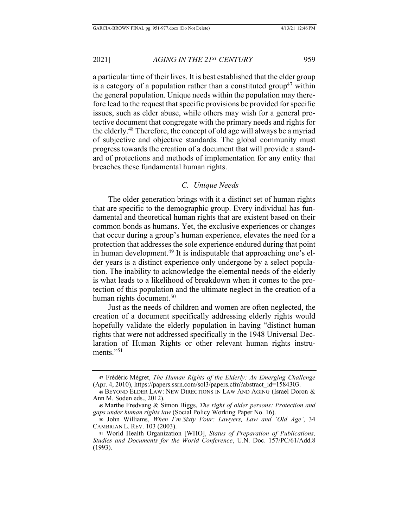a particular time of their lives. It is best established that the elder group is a category of a population rather than a constituted group<sup>47</sup> within the general population. Unique needs within the population may therefore lead to the request that specific provisions be provided for specific issues, such as elder abuse, while others may wish for a general protective document that congregate with the primary needs and rights for the elderly.<sup>48</sup> Therefore, the concept of old age will always be a myriad of subjective and objective standards. The global community must progress towards the creation of a document that will provide a standard of protections and methods of implementation for any entity that breaches these fundamental human rights.

## *C.* Unique Needs

The older generation brings with it a distinct set of human rights that are specific to the demographic group. Every individual has fundamental and theoretical human rights that are existent based on their common bonds as humans. Yet, the exclusive experiences or changes that occur during a group's human experience, elevates the need for a protection that addresses the sole experience endured during that point in human development.<sup>49</sup> It is indisputable that approaching one's elder years is a distinct experience only undergone by a select population. The inability to acknowledge the elemental needs of the elderly is what leads to a likelihood of breakdown when it comes to the protection of this population and the ultimate neglect in the creation of a human rights document.<sup>50</sup>

Just as the needs of children and women are often neglected, the creation of a document specifically addressing elderly rights would hopefully validate the elderly population in having "distinct human rights that were not addressed specifically in the 1948 Universal Declaration of Human Rights or other relevant human rights instruments." $51$ 

<sup>47</sup> Frédéric Mégret, The Human Rights of the Elderly: An Emerging Challenge  $(Apr. 4, 2010)$ , https://papers.ssrn.com/sol3/papers.cfm?abstract\_id=1584303.

<sup>48</sup> BEYOND ELDER LAW: NEW DIRECTIONS IN LAW AND AGING (Israel Doron & Ann M. Soden eds.,  $2012$ ).

<sup>49</sup> Marthe Fredvang & Simon Biggs, The right of older persons: Protection and gaps under human rights law (Social Policy Working Paper No. 16).

<sup>50</sup> John Williams, When I'm Sixty Four: Lawyers, Law and 'Old Age', 34 CAMBRIAN L. REV. 103 (2003).

<sup>51</sup> World Health Organization [WHO], Status of Preparation of Publications, Studies and Documents for the World Conference, U.N. Doc. 157/PC/61/Add.8  $(1993).$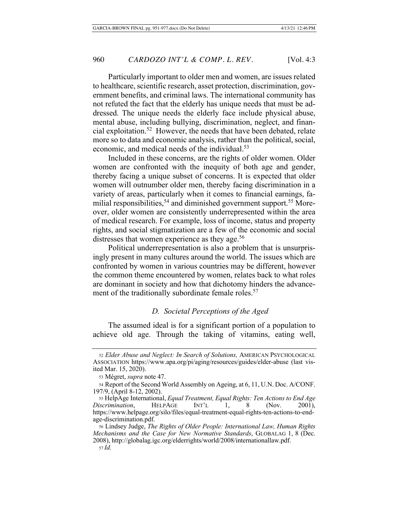Particularly important to older men and women, are issues related to healthcare, scientific research, asset protection, discrimination, government benefits, and criminal laws. The international community has not refuted the fact that the elderly has unique needs that must be addressed. The unique needs the elderly face include physical abuse, mental abuse, including bullying, discrimination, neglect, and financial exploitation.<sup>52</sup> However, the needs that have been debated, relate more so to data and economic analysis, rather than the political, social, economic, and medical needs of the individual.<sup>53</sup>

Included in these concerns, are the rights of older women. Older women are confronted with the inequity of both age and gender, thereby facing a unique subset of concerns. It is expected that older women will outnumber older men, thereby facing discrimination in a variety of areas, particularly when it comes to financial earnings, familial responsibilities,<sup>54</sup> and diminished government support.<sup>55</sup> Moreover, older women are consistently underrepresented within the area of medical research. For example, loss of income, status and property rights, and social stigmatization are a few of the economic and social distresses that women experience as they age.<sup>56</sup>

Political underrepresentation is also a problem that is unsurprisingly present in many cultures around the world. The issues which are confronted by women in various countries may be different, however the common theme encountered by women, relates back to what roles are dominant in society and how that dichotomy hinders the advancement of the traditionally subordinate female roles.<sup>57</sup>

## **D.** Societal Perceptions of the Aged

The assumed ideal is for a significant portion of a population to achieve old age. Through the taking of vitamins, eating well,

<sup>52</sup> Elder Abuse and Neglect: In Search of Solutions, AMERICAN PSYCHOLOGICAL Association https://www.apa.org/pi/aging/resources/guides/elder-abuse (last visited Mar. 15, 2020).

<sup>53</sup> Mégret, *supra* note 47.

<sup>54</sup> Report of the Second World Assembly on Ageing, at 6, 11, U.N. Doc. A/CONF. 197/9, (April 8-12, 2002).

<sup>55</sup> HelpAge International, *Equal Treatment*, *Equal Rights: Ten Actions to End Age Discrimination*, HELPAGE INT'L 1, 8 (Nov. 2001), https://www.helpage.org/silo/files/equal-treatment-equal-rights-ten-actions-to-endage-discrimination.pdf.

<sup>56</sup> Lindsey Judge, The Rights of Older People: International Law, Human Rights Mechanisms and the Case for New Normative Standards, GLOBALAG 1, 8 (Dec. 2008), http://globalag.igc.org/elderrights/world/2008/internationallaw.pdf. *57 Id.*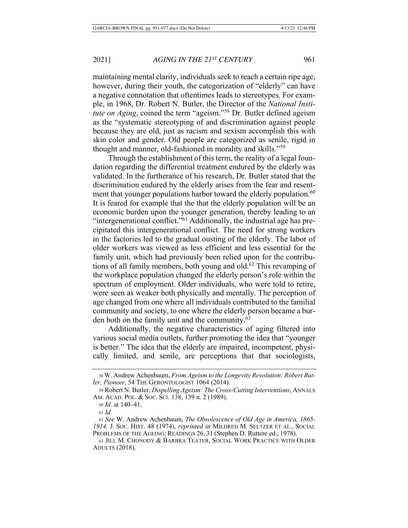maintaining mental clarity, individuals seek to reach a certain ripe age, however, during their youth, the categorization of "elderly" can have a negative connotation that oftentimes leads to stereotypes. For example, in 1968, Dr. Robert N. Butler, the Director of the National Insti*tute on Aging*, coined the term "ageism."<sup>58</sup> Dr. Butler defined ageism as the "systematic stereotyping of and discrimination against people because they are old, just as racism and sexism accomplish this with skin color and gender. Old people are categorized as senile, rigid in thought and manner, old-fashioned in morality and skills."<sup>59</sup>

Through the establishment of this term, the reality of a legal foundation regarding the differential treatment endured by the elderly was validated. In the furtherance of his research, Dr. Butler stated that the discrimination endured by the elderly arises from the fear and resentment that younger populations harbor toward the elderly population.<sup>60</sup> It is feared for example that the that the elderly population will be an economic burden upon the younger generation, thereby leading to an "intergenerational conflict."<sup>61</sup> Additionally, the industrial age has precipitated this intergenerational conflict. The need for strong workers in the factories led to the gradual ousting of the elderly. The labor of older workers was viewed as less efficient and less essential for the family unit, which had previously been relied upon for the contributions of all family members, both young and old.<sup>62</sup> This revamping of the workplace population changed the elderly person's role within the spectrum of employment. Older individuals, who were told to retire, were seen as weaker both physically and mentally. The perception of age changed from one where all individuals contributed to the familial community and society, to one where the elderly person became a burden both on the family unit and the community. $63$ 

Additionally, the negative characteristics of aging filtered into various social media outlets, further promoting the idea that "younger is better." The idea that the elderly are impaired, incompetent, physically limited, and senile, are perceptions that that sociologists,

<sup>58</sup> W. Andrew Achenbaum, From Ageism to the Longevity Revolution: Robert But*ler, Pioneer, 54 THE GERONTOLOGIST 1064 (2014).* 

<sup>59</sup> Robert N. Butler, *Dispelling Ageism: The Cross-Cutting Interventions*, ANNALS AM. ACAD. POL. & Soc. Sci. 138, 139 n. 2 (1989).

<sup>60</sup> *Id*. at 140–41.

 $61$  *Id.* 

<sup>62</sup> See W. Andrew Achenbaum, *The Obsolescence of Old Age in America*, 1865-1914, J. Soc. HIST. 48 (1974), *reprinted in* MILDRED M. SELTZER ET AL., SOCIAL PROBLEMS OF THE AGEING: READINGS 26, 31 (Stephen D. Ruttere ed., 1978).

<sup>63</sup> JILL M. CHONODY & BARBRA TEATER, SOCIAL WORK PRACTICE WITH OLDER **ADULTS** (2018).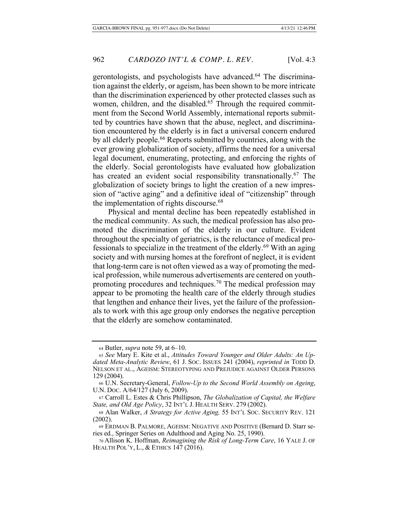gerontologists, and psychologists have advanced.<sup>64</sup> The discrimination against the elderly, or ageism, has been shown to be more intricate than the discrimination experienced by other protected classes such as women, children, and the disabled.<sup>65</sup> Through the required commitment from the Second World Assembly, international reports submitted by countries have shown that the abuse, neglect, and discrimination encountered by the elderly is in fact a universal concern endured by all elderly people.<sup>66</sup> Reports submitted by countries, along with the ever growing globalization of society, affirms the need for a universal legal document, enumerating, protecting, and enforcing the rights of the elderly. Social gerontologists have evaluated how globalization has created an evident social responsibility transnationally.<sup>67</sup> The globalization of society brings to light the creation of a new impression of "active aging" and a definitive ideal of "citizenship" through the implementation of rights discourse.<sup>68</sup>

Physical and mental decline has been repeatedly established in the medical community. As such, the medical profession has also promoted the discrimination of the elderly in our culture. Evident throughout the specialty of geriatrics, is the reluctance of medical professionals to specialize in the treatment of the elderly.<sup>69</sup> With an aging society and with nursing homes at the forefront of neglect, it is evident that long-term care is not often viewed as a way of promoting the medical profession, while numerous advertisements are centered on youthpromoting procedures and techniques.<sup>70</sup> The medical profession may appear to be promoting the health care of the elderly through studies that lengthen and enhance their lives, yet the failure of the professionals to work with this age group only endorses the negative perception that the elderly are somehow contaminated.

<sup>64</sup> Butler, *supra* note 59, at 6–10.

<sup>65</sup> See Mary E. Kite et al., Attitudes Toward Younger and Older Adults: An Updated Meta-Analytic Review, 61 J. Soc. Issues 241<sup>(2004)</sup>, reprinted in TODD D. NELSON ET AL., AGEISM: STEREOTYPING AND PREJUDICE AGAINST OLDER PERSONS 129 (2004).

<sup>66</sup> U.N. Secretary-General, Follow-Up to the Second World Assembly on Ageing, U.N. Doc.  $A/64/127$  (July 6, 2009).

<sup>67</sup> Carroll L. Estes & Chris Phillipson, The Globalization of Capital, the Welfare State, and Old Age Policy, 32 INT'L J. HEALTH SERV. 279 (2002).

<sup>68</sup> Alan Walker, A Strategy for Active Aging, 55 INT'L Soc. SECURITY REV. 121  $(2002).$ 

<sup>69</sup> ERDMAN B. PALMORE, AGEISM: NEGATIVE AND POSITIVE (Bernard D. Starr series ed., Springer Series on Adulthood and Aging No. 25, 1990).

<sup>70</sup> Allison K. Hoffman, Reimagining the Risk of Long-Term Care, 16 YALE J. OF HEALTH POL'Y, L., & ETHICS 147 (2016).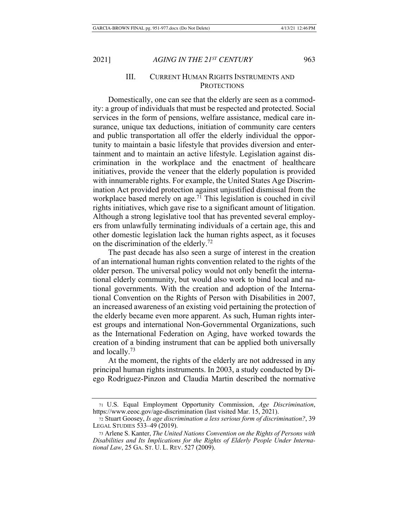## III. CURRENT HUMAN RIGHTS INSTRUMENTS AND PROTECTIONS

Domestically, one can see that the elderly are seen as a commodity: a group of individuals that must be respected and protected. Social services in the form of pensions, welfare assistance, medical care insurance, unique tax deductions, initiation of community care centers and public transportation all offer the elderly individual the opportunity to maintain a basic lifestyle that provides diversion and entertainment and to maintain an active lifestyle. Legislation against discrimination in the workplace and the enactment of healthcare initiatives, provide the veneer that the elderly population is provided with innumerable rights. For example, the United States Age Discrimination Act provided protection against unjustified dismissal from the workplace based merely on age.<sup>71</sup> This legislation is couched in civil rights initiatives, which gave rise to a significant amount of litigation. Although a strong legislative tool that has prevented several employers from unlawfully terminating individuals of a certain age, this and other domestic legislation lack the human rights aspect, as it focuses on the discrimination of the elderly.<sup>72</sup>

The past decade has also seen a surge of interest in the creation of an international human rights convention related to the rights of the older person. The universal policy would not only benefit the international elderly community, but would also work to bind local and national governments. With the creation and adoption of the International Convention on the Rights of Person with Disabilities in 2007, an increased awareness of an existing void pertaining the protection of the elderly became even more apparent. As such, Human rights interest groups and international Non-Governmental Organizations, such as the International Federation on Aging, have worked towards the creation of a binding instrument that can be applied both universally and locally. $73$ 

At the moment, the rights of the elderly are not addressed in any principal human rights instruments. In 2003, a study conducted by Diego Rodriguez-Pinzon and Claudia Martin described the normative

<sup>71</sup> U.S. Equal Employment Opportunity Commission, Age Discrimination, https://www.eeoc.gov/age-discrimination (last visited Mar. 15, 2021).

<sup>72</sup> Stuart Goosey, Is age discrimination a less serious form of discrimination?, 39 LEGAL STUDIES  $533-49$  (2019).

<sup>73</sup> Arlene S. Kanter, *The United Nations Convention on the Rights of Persons with Disabilities and Its Implications for the Rights of Elderly People Under International Law*, 25 GA. ST. U. L. REV. 527 (2009).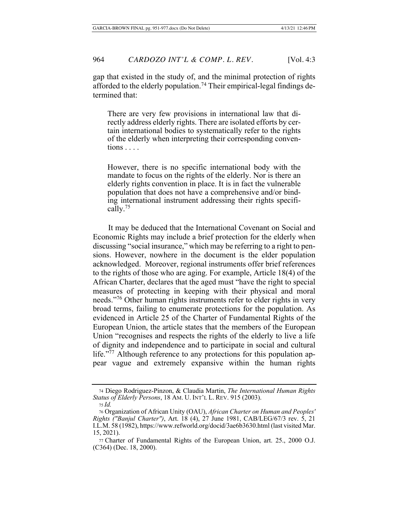gap that existed in the study of, and the minimal protection of rights afforded to the elderly population.<sup>74</sup> Their empirical-legal findings determined that:

There are very few provisions in international law that directly address elderly rights. There are isolated efforts by certain international bodies to systematically refer to the rights of the elderly when interpreting their corresponding conven $tions \ldots$ 

However, there is no specific international body with the mandate to focus on the rights of the elderly. Nor is there an elderly rights convention in place. It is in fact the vulnerable population that does not have a comprehensive and/or binding international instrument addressing their rights specifically.<sup>75</sup>

It may be deduced that the International Covenant on Social and Economic Rights may include a brief protection for the elderly when discussing "social insurance," which may be referring to a right to pensions. However, nowhere in the document is the elder population acknowledged. Moreover, regional instruments offer brief references to the rights of those who are aging. For example, Article  $18(4)$  of the African Charter, declares that the aged must "have the right to special measures of protecting in keeping with their physical and moral needs."<sup>76</sup> Other human rights instruments refer to elder rights in very broad terms, failing to enumerate protections for the population. As evidenced in Article 25 of the Charter of Fundamental Rights of the European Union, the article states that the members of the European Union "recognises and respects the rights of the elderly to live a life of dignity and independence and to participate in social and cultural life."<sup>77</sup> Although reference to any protections for this population appear vague and extremely expansive within the human rights

<sup>&</sup>lt;sup>74</sup> Diego Rodriguez-Pinzon, & Claudia Martin, The International Human Rights *Status of Elderly Persons*, 18 AM. U. INT'L L. REV. 915 (2003).

*/*

<sup>&</sup>lt;sup>76</sup> Organization of African Unity (OAU), African Charter on Human and Peoples' Rights ("Banjul Charter"), Art. 18 (4), 27 June 1981, CAB/LEG/67/3 rev. 5, 21 I.L.M. 58 (1982), https://www.refworld.org/docid/3ae6b3630.html (last visited Mar. 15, 2021).

<sup>77</sup> Charter of Fundamental Rights of the European Union, art. 25., 2000 O.J. (C364) (Dec. 18, 2000).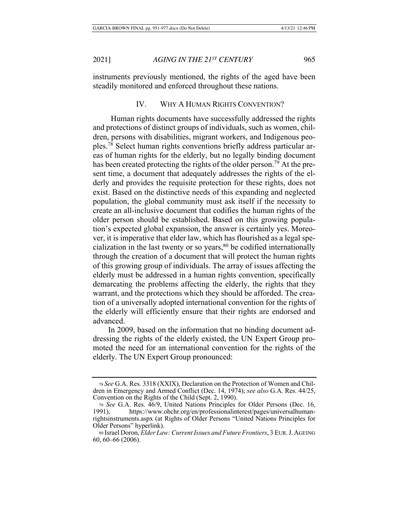instruments previously mentioned, the rights of the aged have been steadily monitored and enforced throughout these nations.

## IV. WHY A HUMAN RIGHTS CONVENTION?

Human rights documents have successfully addressed the rights and protections of distinct groups of individuals, such as women, children, persons with disabilities, migrant workers, and Indigenous peoples.<sup>78</sup> Select human rights conventions briefly address particular areas of human rights for the elderly, but no legally binding document has been created protecting the rights of the older person.<sup>79</sup> At the present time, a document that adequately addresses the rights of the elderly and provides the requisite protection for these rights, does not exist. Based on the distinctive needs of this expanding and neglected population, the global community must ask itself if the necessity to create an all-inclusive document that codifies the human rights of the older person should be established. Based on this growing population's expected global expansion, the answer is certainly yes. Moreover, it is imperative that elder law, which has flourished as a legal specialization in the last twenty or so years,  $80$  be codified internationally through the creation of a document that will protect the human rights of this growing group of individuals. The array of issues affecting the elderly must be addressed in a human rights convention, specifically demarcating the problems affecting the elderly, the rights that they warrant, and the protections which they should be afforded. The creation of a universally adopted international convention for the rights of the elderly will efficiently ensure that their rights are endorsed and advanced.

In 2009, based on the information that no binding document addressing the rights of the elderly existed, the UN Expert Group promoted the need for an international convention for the rights of the elderly. The UN Expert Group pronounced:

<sup>78</sup> See G.A. Res. 3318 (XXIX), Declaration on the Protection of Women and Children in Emergency and Armed Conflict (Dec. 14, 1974); see also G.A. Res. 44/25, Convention on the Rights of the Child (Sept. 2, 1990).

<sup>79</sup> See G.A. Res. 46/9, United Nations Principles for Older Persons (Dec. 16, 1991), https://www.ohchr.org/en/professionalinterest/pages/universalhumanrightsinstruments.aspx (at Rights of Older Persons "United Nations Principles for Older Persons" hyperlink).

<sup>80</sup> Israel Doron, *Elder Law: Current Issues and Future Frontiers*, 3 EUR. J. AGEING  $60, 60 - 66$  (2006).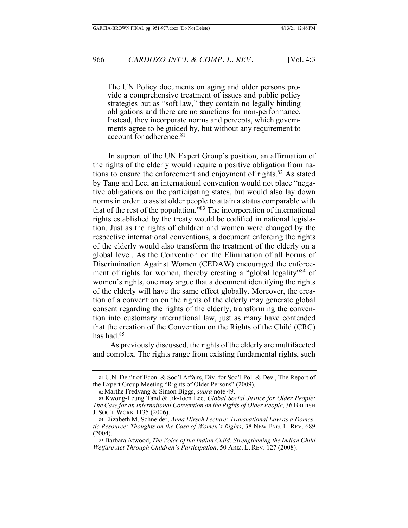The UN Policy documents on aging and older persons provide a comprehensive treatment of issues and public policy strategies but as "soft law," they contain no legally binding obligations and there are no sanctions for non-performance. Instead, they incorporate norms and percepts, which governments agree to be guided by, but without any requirement to account for adherence.<sup>81</sup>

In support of the UN Expert Group's position, an affirmation of the rights of the elderly would require a positive obligation from nations to ensure the enforcement and enjoyment of rights.<sup>82</sup> As stated by Tang and Lee, an international convention would not place "negative obligations on the participating states, but would also lay down norms in order to assist older people to attain a status comparable with that of the rest of the population."<sup>83</sup> The incorporation of international rights established by the treaty would be codified in national legislation. Just as the rights of children and women were changed by the respective international conventions, a document enforcing the rights of the elderly would also transform the treatment of the elderly on a global level. As the Convention on the Elimination of all Forms of Discrimination Against Women (CEDAW) encouraged the enforcement of rights for women, thereby creating a "global legality"<sup>84</sup> of women's rights, one may argue that a document identifying the rights of the elderly will have the same effect globally. Moreover, the creation of a convention on the rights of the elderly may generate global consent regarding the rights of the elderly, transforming the convention into customary international law, just as many have contended that the creation of the Convention on the Rights of the Child  $(CRC)$ has had. $85$ 

As previously discussed, the rights of the elderly are multifaceted and complex. The rights range from existing fundamental rights, such

<sup>81</sup> U.N. Dep't of Econ. & Soc'l Affairs, Div. for Soc'l Pol. & Dev., The Report of the Expert Group Meeting "Rights of Older Persons" (2009).

<sup>82</sup> Marthe Fredvang & Simon Biggs, *supra* note 49.

<sup>83</sup> Kwong-Leung Tand & Jik-Joen Lee, Global Social Justice for Older People: *The Case for an International Convention on the Rights of Older People, 36 BRITISH* J. Soc'l Work 1135 (2006).

<sup>84</sup> Elizabeth M. Schneider, Anna Hirsch Lecture: Transnational Law as a Domes*tic Resource: Thoughts on the Case of Women's Rights, 38 NEW ENG. L. REV. 689*  $(2004).$ 

<sup>85</sup> Barbara Atwood, The Voice of the Indian Child: Strengthening the Indian Child *Welfare Act Through Children's Participation, 50 ARIZ. L. REV. 127 (2008).*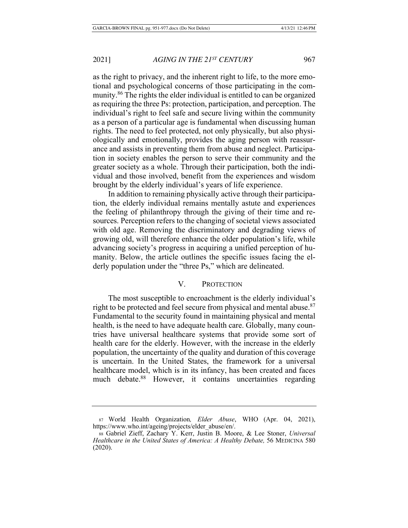as the right to privacy, and the inherent right to life, to the more emotional and psychological concerns of those participating in the community.<sup>86</sup> The rights the elder individual is entitled to can be organized as requiring the three Ps: protection, participation, and perception. The individual's right to feel safe and secure living within the community as a person of a particular age is fundamental when discussing human rights. The need to feel protected, not only physically, but also physiologically and emotionally, provides the aging person with reassurance and assists in preventing them from abuse and neglect. Participation in society enables the person to serve their community and the greater society as a whole. Through their participation, both the individual and those involved, benefit from the experiences and wisdom brought by the elderly individual's years of life experience.

In addition to remaining physically active through their participation, the elderly individual remains mentally astute and experiences the feeling of philanthropy through the giving of their time and resources. Perception refers to the changing of societal views associated with old age. Removing the discriminatory and degrading views of growing old, will therefore enhance the older population's life, while advancing society's progress in acquiring a unified perception of humanity. Below, the article outlines the specific issues facing the elderly population under the "three Ps," which are delineated.

## V. PROTECTION

The most susceptible to encroachment is the elderly individual's right to be protected and feel secure from physical and mental abuse.<sup>87</sup> Fundamental to the security found in maintaining physical and mental health, is the need to have adequate health care. Globally, many countries have universal healthcare systems that provide some sort of health care for the elderly. However, with the increase in the elderly population, the uncertainty of the quality and duration of this coverage is uncertain. In the United States, the framework for a universal healthcare model, which is in its infancy, has been created and faces much debate.<sup>88</sup> However, it contains uncertainties regarding

<sup>87</sup> World Health Organization, Elder Abuse, WHO (Apr. 04, 2021), https://www.who.int/ageing/projects/elder\_abuse/en/.

<sup>88</sup> Gabriel Zieff, Zachary Y. Kerr, Justin B. Moore, & Lee Stoner, Universal *Healthcare in the United States of America: A Healthy Debate, 56 MEDICINA 580*  $(2020).$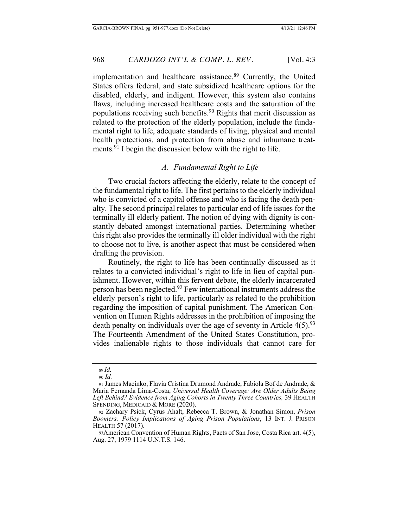implementation and healthcare assistance.<sup>89</sup> Currently, the United States offers federal, and state subsidized healthcare options for the disabled, elderly, and indigent. However, this system also contains flaws, including increased healthcare costs and the saturation of the populations receiving such benefits.<sup>90</sup> Rights that merit discussion as related to the protection of the elderly population, include the fundamental right to life, adequate standards of living, physical and mental health protections, and protection from abuse and inhumane treatments.<sup>91</sup> I begin the discussion below with the right to life.

## A. Fundamental Right to Life

Two crucial factors affecting the elderly, relate to the concept of the fundamental right to life. The first pertains to the elderly individual who is convicted of a capital offense and who is facing the death penalty. The second principal relates to particular end of life issues for the terminally ill elderly patient. The notion of dying with dignity is constantly debated amongst international parties. Determining whether this right also provides the terminally ill older individual with the right to choose not to live, is another aspect that must be considered when drafting the provision.

Routinely, the right to life has been continually discussed as it relates to a convicted individual's right to life in lieu of capital punishment. However, within this fervent debate, the elderly incarcerated person has been neglected.<sup>92</sup> Few international instruments address the elderly person's right to life, particularly as related to the prohibition regarding the imposition of capital punishment. The American Convention on Human Rights addresses in the prohibition of imposing the death penalty on individuals over the age of seventy in Article  $4(5)$ <sup>93</sup> The Fourteenth Amendment of the United States Constitution, provides inalienable rights to those individuals that cannot care for

<sup>89</sup> Id.

<sup>90</sup> *Id*.

<sup>91</sup> James Macinko, Flavia Cristina Drumond Andrade, Fabiola Bof de Andrade, & Maria Fernanda Lima-Costa, Universal Health Coverage: Are Older Adults Being Left Behind? Evidence from Aging Cohorts in Twenty Three Countries, 39 HEALTH SPENDING, MEDICAID & MORE  $(2020)$ .

<sup>92</sup> Zachary Psick, Cyrus Ahalt, Rebecca T. Brown, & Jonathan Simon, Prison Boomers: Policy Implications of Aging Prison Populations, 13 INT. J. PRISON HEALTH 57 (2017).

<sup>93</sup> American Convention of Human Rights, Pacts of San Jose, Costa Rica art. 4(5), Aug. 27, 1979 1114 U.N.T.S. 146.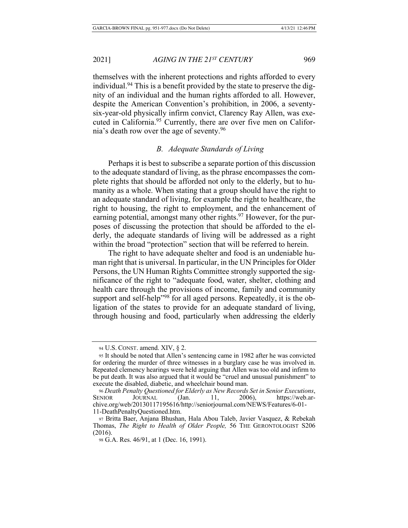themselves with the inherent protections and rights afforded to every individual.<sup>94</sup> This is a benefit provided by the state to preserve the dignity of an individual and the human rights afforded to all. However, despite the American Convention's prohibition, in 2006, a seventysix-year-old physically infirm convict, Clarency Ray Allen, was executed in California.<sup>95</sup> Currently, there are over five men on California's death row over the age of seventy.  $96$ 

## B. Adequate Standards of Living

Perhaps it is best to subscribe a separate portion of this discussion to the adequate standard of living, as the phrase encompasses the complete rights that should be afforded not only to the elderly, but to humanity as a whole. When stating that a group should have the right to an adequate standard of living, for example the right to healthcare, the right to housing, the right to employment, and the enhancement of earning potential, amongst many other rights.<sup>97</sup> However, for the purposes of discussing the protection that should be afforded to the elderly, the adequate standards of living will be addressed as a right within the broad "protection" section that will be referred to herein.

The right to have adequate shelter and food is an undeniable human right that is universal. In particular, in the UN Principles for Older Persons, the UN Human Rights Committee strongly supported the significance of the right to "adequate food, water, shelter, clothing and health care through the provisions of income, family and community support and self-help"<sup>98</sup> for all aged persons. Repeatedly, it is the obligation of the states to provide for an adequate standard of living, through housing and food, particularly when addressing the elderly

<sup>94</sup> U.S. CONST. amend. XIV,  $\S$  2.

<sup>95</sup> It should be noted that Allen's sentencing came in 1982 after he was convicted for ordering the murder of three witnesses in a burglary case he was involved in. Repeated clemency hearings were held arguing that Allen was too old and infirm to be put death. It was also argued that it would be "cruel and unusual punishment" to execute the disabled, diabetic, and wheelchair bound man.

<sup>96</sup> Death Penalty Questioned for Elderly as New Records Set in Senior Executions,  $S_{ENIOR}$  JOURNAL (Jan. 11, 2006), /web.archive.org/web/20130117195616/http://seniorjournal.com/NEWS/Features/6-01-11-DeathPenaltyQuestioned.htm.

<sup>97</sup> Britta Baer, Anjana Bhushan, Hala Abou Taleb, Javier Vasquez, & Rebekah Thomas, *The Right to Health of Older People*, 56 THE GERONTOLOGIST S206  $(2016).$ 

<sup>98</sup> G.A. Res. 46/91, at 1 (Dec. 16, 1991).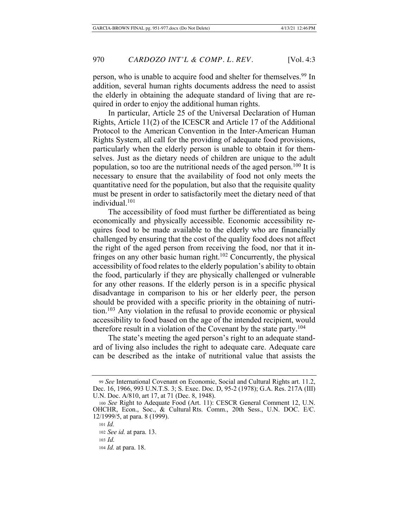person, who is unable to acquire food and shelter for themselves.<sup>99</sup> In addition, several human rights documents address the need to assist the elderly in obtaining the adequate standard of living that are required in order to enjoy the additional human rights.

In particular, Article 25 of the Universal Declaration of Human Rights, Article  $11(2)$  of the ICESCR and Article 17 of the Additional Protocol to the American Convention in the Inter-American Human Rights System, all call for the providing of adequate food provisions, particularly when the elderly person is unable to obtain it for themselves. Just as the dietary needs of children are unique to the adult population, so too are the nutritional needs of the aged person.<sup>100</sup> It is necessary to ensure that the availability of food not only meets the quantitative need for the population, but also that the requisite quality must be present in order to satisfactorily meet the dietary need of that individual.<sup>101</sup>

The accessibility of food must further be differentiated as being economically and physically accessible. Economic accessibility requires food to be made available to the elderly who are financially challenged by ensuring that the cost of the quality food does not affect the right of the aged person from receiving the food, nor that it infringes on any other basic human right.<sup>102</sup> Concurrently, the physical accessibility of food relates to the elderly population's ability to obtain the food, particularly if they are physically challenged or vulnerable for any other reasons. If the elderly person is in a specific physical disadvantage in comparison to his or her elderly peer, the person should be provided with a specific priority in the obtaining of nutrition.<sup>103</sup> Any violation in the refusal to provide economic or physical accessibility to food based on the age of the intended recipient, would therefore result in a violation of the Covenant by the state party.<sup>104</sup>

The state's meeting the aged person's right to an adequate standard of living also includes the right to adequate care. Adequate care can be described as the intake of nutritional value that assists the

<sup>99</sup> See International Covenant on Economic, Social and Cultural Rights art. 11.2, Dec. 16, 1966, 993 U.N.T.S. 3; S. Exec. Doc. D, 95-2 (1978); G.A. Res. 217A (III) U.N. Doc. A/810, art 17, at 71 (Dec. 8, 1948).

<sup>100</sup> See Right to Adequate Food (Art. 11): CESCR General Comment 12, U.N. OHCHR, Econ., Soc., & Cultural Rts. Comm., 20th Sess., U.N. DOC. E/C. 12/1999/5, at para. 8 (1999).

<sup>101</sup> *Id.* 

<sup>102</sup> See id. at para. 13.

<sup>103</sup> *Id.* 

<sup>104</sup> *Id.* at para. 18.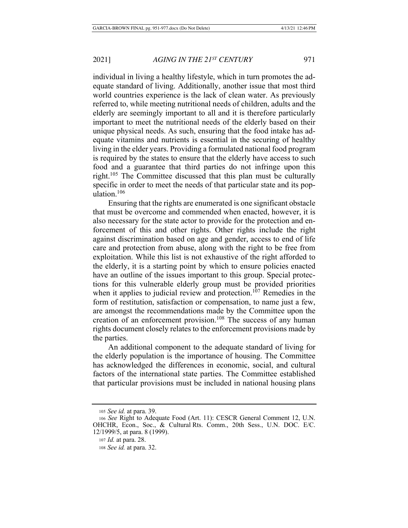individual in living a healthy lifestyle, which in turn promotes the adequate standard of living. Additionally, another issue that most third world countries experience is the lack of clean water. As previously referred to, while meeting nutritional needs of children, adults and the elderly are seemingly important to all and it is therefore particularly important to meet the nutritional needs of the elderly based on their unique physical needs. As such, ensuring that the food intake has adequate vitamins and nutrients is essential in the securing of healthy living in the elder years. Providing a formulated national food program is required by the states to ensure that the elderly have access to such food and a guarantee that third parties do not infringe upon this right.<sup>105</sup> The Committee discussed that this plan must be culturally specific in order to meet the needs of that particular state and its population.<sup>106</sup>

Ensuring that the rights are enumerated is one significant obstacle that must be overcome and commended when enacted, however, it is also necessary for the state actor to provide for the protection and enforcement of this and other rights. Other rights include the right against discrimination based on age and gender, access to end of life care and protection from abuse, along with the right to be free from exploitation. While this list is not exhaustive of the right afforded to the elderly, it is a starting point by which to ensure policies enacted have an outline of the issues important to this group. Special protections for this vulnerable elderly group must be provided priorities when it applies to judicial review and protection.<sup>107</sup> Remedies in the form of restitution, satisfaction or compensation, to name just a few, are amongst the recommendations made by the Committee upon the creation of an enforcement provision.<sup>108</sup> The success of any human rights document closely relates to the enforcement provisions made by the parties.

An additional component to the adequate standard of living for the elderly population is the importance of housing. The Committee has acknowledged the differences in economic, social, and cultural factors of the international state parties. The Committee established that particular provisions must be included in national housing plans

<sup>105</sup> See id. at para. 39.

<sup>106</sup> See Right to Adequate Food (Art. 11): CESCR General Comment 12, U.N. OHCHR, Econ., Soc., & Cultural Rts. Comm., 20th Sess., U.N. DOC. E/C. 12/1999/5, at para. 8 (1999).

<sup>107</sup> *Id.* at para. 28.

<sup>108</sup> *See id.* at para. 32.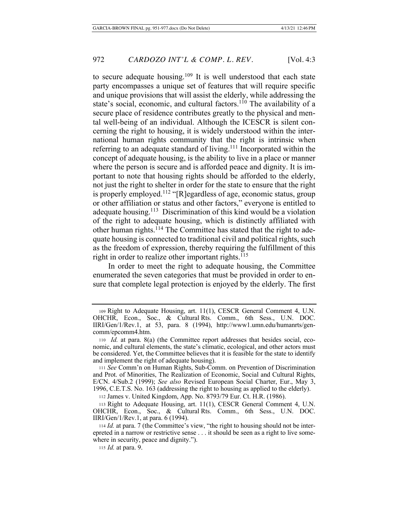to secure adequate housing.<sup>109</sup> It is well understood that each state party encompasses a unique set of features that will require specific and unique provisions that will assist the elderly, while addressing the state's social, economic, and cultural factors.<sup>110</sup> The availability of a secure place of residence contributes greatly to the physical and mental well-being of an individual. Although the ICESCR is silent concerning the right to housing, it is widely understood within the international human rights community that the right is intrinsic when referring to an adequate standard of living.<sup>111</sup> Incorporated within the concept of adequate housing, is the ability to live in a place or manner where the person is secure and is afforded peace and dignity. It is important to note that housing rights should be afforded to the elderly, not just the right to shelter in order for the state to ensure that the right is properly employed.<sup>112</sup> "[R] egardless of age, economic status, group or other affiliation or status and other factors," everyone is entitled to adequate housing.<sup>113</sup> Discrimination of this kind would be a violation of the right to adequate housing, which is distinctly affiliated with other human rights.<sup>114</sup> The Committee has stated that the right to adequate housing is connected to traditional civil and political rights, such as the freedom of expression, thereby requiring the fulfillment of this right in order to realize other important rights.<sup>115</sup>

In order to meet the right to adequate housing, the Committee enumerated the seven categories that must be provided in order to ensure that complete legal protection is enjoyed by the elderly. The first

112 James v. United Kingdom, App. No. 8793/79 Eur. Ct. H.R. (1986).

115 *Id.* at para. 9.

<sup>109</sup> Right to Adequate Housing, art. 11(1), CESCR General Comment 4, U.N.  $OHCHR$ , Econ., Soc., & Cultural Rts. Comm., 6th Sess., U.N. DOC. IIRI/Gen/1/Rev.1, at 53, para. 8 (1994), http://www1.umn.edu/humanrts/gencomm/epcomm4.htm.

<sup>110</sup> *Id.* at para. 8(a) (the Committee report addresses that besides social, economic, and cultural elements, the state's climatic, ecological, and other actors must be considered. Yet, the Committee believes that it is feasible for the state to identify and implement the right of adequate housing).

<sup>111</sup> See Comm'n on Human Rights, Sub-Comm. on Prevention of Discrimination and Prot. of Minorities, The Realization of Economic, Social and Cultural Rights, E/CN. 4/Sub.2 (1999); See also Revised European Social Charter, Eur., May 3, 1996, C.E.T.S. No. 163 (addressing the right to housing as applied to the elderly).

<sup>113</sup> Right to Adequate Housing, art. 11(1), CESCR General Comment 4, U.N. OHCHR, Econ., Soc., & Cultural Rts. Comm., 6th Sess., U.N. DOC.  $IIRI/Gen/1/Rev.1$ , at para. 6 (1994).

<sup>114</sup> Id. at para. 7 (the Committee's view, "the right to housing should not be interepreted in a narrow or restrictive sense . . . it should be seen as a right to live somewhere in security, peace and dignity.").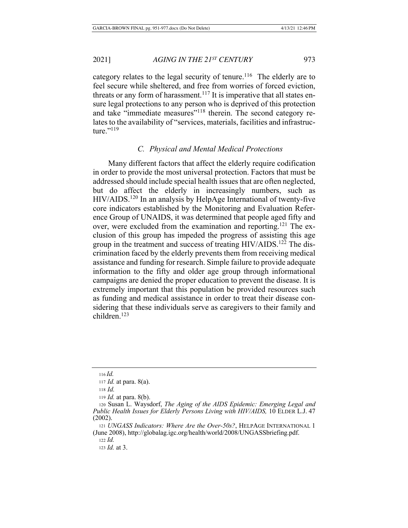category relates to the legal security of tenure.<sup>116</sup> The elderly are to feel secure while sheltered, and free from worries of forced eviction, threats or any form of harassment.<sup>117</sup> It is imperative that all states ensure legal protections to any person who is deprived of this protection and take "immediate measures"<sup>118</sup> therein. The second category relates to the availability of "services, materials, facilities and infrastructure." $^{119}$ 

# $C.$  *Physical and Mental Medical Protections*

Many different factors that affect the elderly require codification in order to provide the most universal protection. Factors that must be addressed should include special health issues that are often neglected, but do affect the elderly in increasingly numbers, such as  $HIV/AIDS$ .<sup>120</sup> In an analysis by HelpAge International of twenty-five core indicators established by the Monitoring and Evaluation Reference Group of UNAIDS, it was determined that people aged fifty and over, were excluded from the examination and reporting.<sup>121</sup> The exclusion of this group has impeded the progress of assisting this age group in the treatment and success of treating HIV/AIDS.<sup>122</sup> The discrimination faced by the elderly prevents them from receiving medical assistance and funding for research. Simple failure to provide adequate information to the fifty and older age group through informational campaigns are denied the proper education to prevent the disease. It is extremely important that this population be provided resources such as funding and medical assistance in order to treat their disease considering that these individuals serve as caregivers to their family and  $children<sup>123</sup>$ 

119 *Id.* at para. 8(b).

 $122$  *Id.* 

123 *Id.* at 3.

 $116$  *Id.* 

<sup>117</sup> *Id.* at para. 8(a).

<sup>118</sup> *Id.* 

<sup>120</sup> Susan L. Waysdorf, The Aging of the AIDS Epidemic: Emerging Legal and Public Health Issues for Elderly Persons Living with HIV/AIDS, 10 ELDER L.J. 47  $(2002).$ 

<sup>121</sup> UNGASS Indicators: Where Are the Over-50s?, HELPAGE INTERNATIONAL 1 (June 2008), http://globalag.igc.org/health/world/2008/UNGASSbriefing.pdf.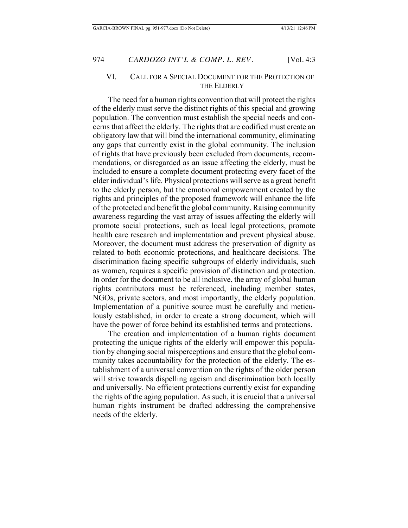## VI. CALL FOR A SPECIAL DOCUMENT FOR THE PROTECTION OF THE ELDERLY

The need for a human rights convention that will protect the rights of the elderly must serve the distinct rights of this special and growing population. The convention must establish the special needs and concerns that affect the elderly. The rights that are codified must create an obligatory law that will bind the international community, eliminating any gaps that currently exist in the global community. The inclusion of rights that have previously been excluded from documents, recommendations, or disregarded as an issue affecting the elderly, must be included to ensure a complete document protecting every facet of the elder individual's life. Physical protections will serve as a great benefit to the elderly person, but the emotional empowerment created by the rights and principles of the proposed framework will enhance the life of the protected and benefit the global community. Raising community awareness regarding the vast array of issues affecting the elderly will promote social protections, such as local legal protections, promote health care research and implementation and prevent physical abuse. Moreover, the document must address the preservation of dignity as related to both economic protections, and healthcare decisions. The discrimination facing specific subgroups of elderly individuals, such as women, requires a specific provision of distinction and protection. In order for the document to be all inclusive, the array of global human rights contributors must be referenced, including member states, NGOs, private sectors, and most importantly, the elderly population. Implementation of a punitive source must be carefully and meticulously established, in order to create a strong document, which will have the power of force behind its established terms and protections.

The creation and implementation of a human rights document protecting the unique rights of the elderly will empower this population by changing social misperceptions and ensure that the global community takes accountability for the protection of the elderly. The establishment of a universal convention on the rights of the older person will strive towards dispelling ageism and discrimination both locally and universally. No efficient protections currently exist for expanding the rights of the aging population. As such, it is crucial that a universal human rights instrument be drafted addressing the comprehensive needs of the elderly.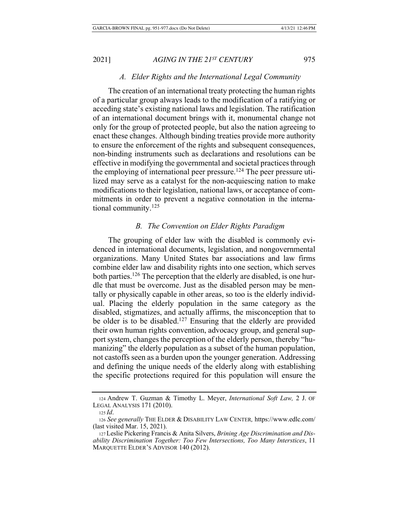#### A. Elder Rights and the International Legal Community

The creation of an international treaty protecting the human rights of a particular group always leads to the modification of a ratifying or acceding state's existing national laws and legislation. The ratification of an international document brings with it, monumental change not only for the group of protected people, but also the nation agreeing to enact these changes. Although binding treaties provide more authority to ensure the enforcement of the rights and subsequent consequences, non-binding instruments such as declarations and resolutions can be  $s$ effective in modifying the governmental and societal practices through the employing of international peer pressure.<sup>124</sup> The peer pressure utilized may serve as a catalyst for the non-acquiescing nation to make modifications to their legislation, national laws, or acceptance of commitments in order to prevent a negative connotation in the international community. $125$ 

## **B.** The Convention on Elder Rights Paradigm

The grouping of elder law with the disabled is commonly evidenced in international documents, legislation, and nongovernmental organizations. Many United States bar associations and law firms combine elder law and disability rights into one section, which serves both parties.<sup>126</sup> The perception that the elderly are disabled, is one hurdle that must be overcome. Just as the disabled person may be mentally or physically capable in other areas, so too is the elderly individual. Placing the elderly population in the same category as the disabled, stigmatizes, and actually affirms, the misconception that to be older is to be disabled.<sup>127</sup> Ensuring that the elderly are provided their own human rights convention, advocacy group, and general support system, changes the perception of the elderly person, thereby "humanizing" the elderly population as a subset of the human population, not castoffs seen as a burden upon the younger generation. Addressing and defining the unique needs of the elderly along with establishing the specific protections required for this population will ensure the

<sup>124</sup> Andrew T. Guzman & Timothy L. Meyer, *International Soft Law*, 2 J. OF LEGAL ANALYSIS  $171$  (2010).

 $125$ *Id.* 

<sup>126</sup> See generally THE ELDER & DISABILITY LAW CENTER, https://www.edlc.com/ (last visited Mar.  $15, 2021$ ).

<sup>127</sup> Leslie Pickering Francis & Anita Silvers, Brining Age Discrimination and Dis*ability Discrimination Together: Too Few Intersections, Too Many Interstices, 11* MARQUETTE ELDER'S ADVISOR 140 (2012).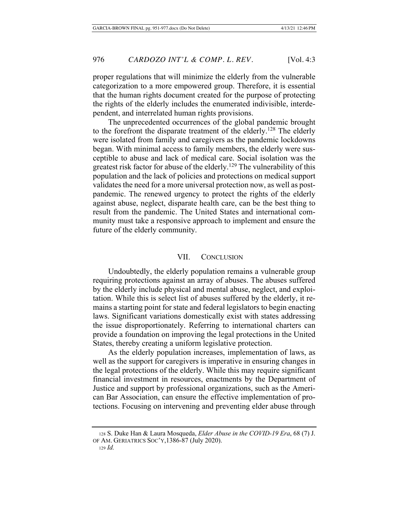proper regulations that will minimize the elderly from the vulnerable categorization to a more empowered group. Therefore, it is essential that the human rights document created for the purpose of protecting the rights of the elderly includes the enumerated indivisible, interdependent, and interrelated human rights provisions.

The unprecedented occurrences of the global pandemic brought to the forefront the disparate treatment of the elderly.<sup>128</sup> The elderly were isolated from family and caregivers as the pandemic lockdowns began. With minimal access to family members, the elderly were susceptible to abuse and lack of medical care. Social isolation was the greatest risk factor for abuse of the elderly.<sup>129</sup> The vulnerability of this population and the lack of policies and protections on medical support validates the need for a more universal protection now, as well as postpandemic. The renewed urgency to protect the rights of the elderly against abuse, neglect, disparate health care, can be the best thing to result from the pandemic. The United States and international community must take a responsive approach to implement and ensure the future of the elderly community.

## VII. CONCLUSION

Undoubtedly, the elderly population remains a vulnerable group requiring protections against an array of abuses. The abuses suffered by the elderly include physical and mental abuse, neglect, and exploitation. While this is select list of abuses suffered by the elderly, it remains a starting point for state and federal legislators to begin enacting laws. Significant variations domestically exist with states addressing the issue disproportionately. Referring to international charters can provide a foundation on improving the legal protections in the United States, thereby creating a uniform legislative protection.

As the elderly population increases, implementation of laws, as well as the support for caregivers is imperative in ensuring changes in the legal protections of the elderly. While this may require significant financial investment in resources, enactments by the Department of Justice and support by professional organizations, such as the American Bar Association, can ensure the effective implementation of protections. Focusing on intervening and preventing elder abuse through

<sup>128</sup> S. Duke Han & Laura Mosqueda, *Elder Abuse in the COVID-19 Era*, 68 (7) J. OF AM. GERIATRICS SOC'Y, 1386-87 (July 2020).

 $129$  *Id.*